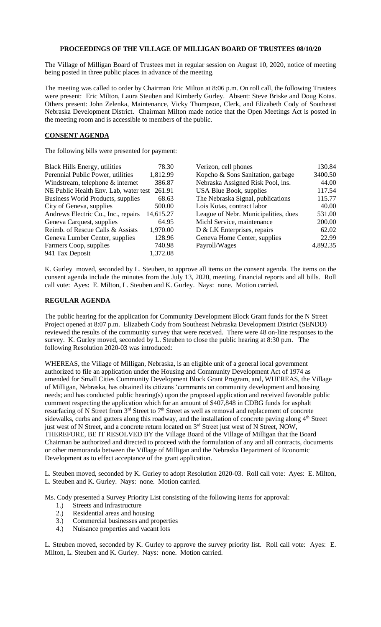## **PROCEEDINGS OF THE VILLAGE OF MILLIGAN BOARD OF TRUSTEES 08/10/20**

The Village of Milligan Board of Trustees met in regular session on August 10, 2020, notice of meeting being posted in three public places in advance of the meeting.

The meeting was called to order by Chairman Eric Milton at 8:06 p.m. On roll call, the following Trustees were present: Eric Milton, Laura Steuben and Kimberly Gurley. Absent: Steve Briske and Doug Kotas. Others present: John Zelenka, Maintenance, Vicky Thompson, Clerk, and Elizabeth Cody of Southeast Nebraska Development District. Chairman Milton made notice that the Open Meetings Act is posted in the meeting room and is accessible to members of the public.

## **CONSENT AGENDA**

The following bills were presented for payment:

| <b>Black Hills Energy, utilities</b><br>78.30<br>Verizon, cell phones                              | 130.84 |
|----------------------------------------------------------------------------------------------------|--------|
| Perennial Public Power, utilities<br>1,812.99<br>Kopcho & Sons Sanitation, garbage<br>3400.50      |        |
| Nebraska Assigned Risk Pool, ins.<br>Windstream, telephone & internet<br>386.87                    | 44.00  |
| NE Public Health Env. Lab, water test 261.91<br>USA Blue Book, supplies<br>117.54                  |        |
| The Nebraska Signal, publications<br>Business World Products, supplies<br>115.77<br>68.63          |        |
| City of Geneva, supplies<br>Lois Kotas, contract labor<br>500.00                                   | 40.00  |
| Andrews Electric Co., Inc., repairs<br>League of Nebr. Municipalities, dues<br>14,615.27<br>531.00 |        |
| Michl Service, maintenance<br>Geneva Carquest, supplies<br>64.95<br>200.00                         |        |
| Reimb. of Rescue Calls & Assists<br>1,970.00<br>D & LK Enterprises, repairs                        | 62.02  |
| Geneva Home Center, supplies<br>128.96<br>Geneva Lumber Center, supplies                           | 22.99  |
| Farmers Coop, supplies<br>740.98<br>4,892.35<br>Payroll/Wages                                      |        |
| 1,372.08<br>941 Tax Deposit                                                                        |        |

K. Gurley moved, seconded by L. Steuben, to approve all items on the consent agenda. The items on the consent agenda include the minutes from the July 13, 2020, meeting, financial reports and all bills. Roll call vote: Ayes: E. Milton, L. Steuben and K. Gurley. Nays: none. Motion carried.

## **REGULAR AGENDA**

The public hearing for the application for Community Development Block Grant funds for the N Street Project opened at 8:07 p.m. Elizabeth Cody from Southeast Nebraska Development District (SENDD) reviewed the results of the community survey that were received. There were 48 on-line responses to the survey. K. Gurley moved, seconded by L. Steuben to close the public hearing at 8:30 p.m. The following Resolution 2020-03 was introduced:

WHEREAS, the Village of Milligan, Nebraska, is an eligible unit of a general local government authorized to file an application under the Housing and Community Development Act of 1974 as amended for Small Cities Community Development Block Grant Program, and, WHEREAS, the Village of Milligan, Nebraska, has obtained its citizens 'comments on community development and housing needs; and has conducted public hearing(s) upon the proposed application and received favorable public comment respecting the application which for an amount of \$407,848 in CDBG funds for asphalt resurfacing of N Street from 3<sup>rd</sup> Street to 7<sup>th</sup> Street as well as removal and replacement of concrete sidewalks, curbs and gutters along this roadway, and the installation of concrete paving along 4<sup>th</sup> Street just west of N Street, and a concrete return located on 3<sup>rd</sup> Street just west of N Street, NOW, THEREFORE, BE IT RESOLVED BY the Village Board of the Village of Milligan that the Board Chairman be authorized and directed to proceed with the formulation of any and all contracts, documents or other memoranda between the Village of Milligan and the Nebraska Department of Economic Development as to effect acceptance of the grant application.

L. Steuben moved, seconded by K. Gurley to adopt Resolution 2020-03. Roll call vote: Ayes: E. Milton, L. Steuben and K. Gurley. Nays: none. Motion carried.

Ms. Cody presented a Survey Priority List consisting of the following items for approval:

- 1.) Streets and infrastructure
- 2.) Residential areas and housing
- 3.) Commercial businesses and properties
- 4.) Nuisance properties and vacant lots

L. Steuben moved, seconded by K. Gurley to approve the survey priority list. Roll call vote: Ayes: E. Milton, L. Steuben and K. Gurley. Nays: none. Motion carried.